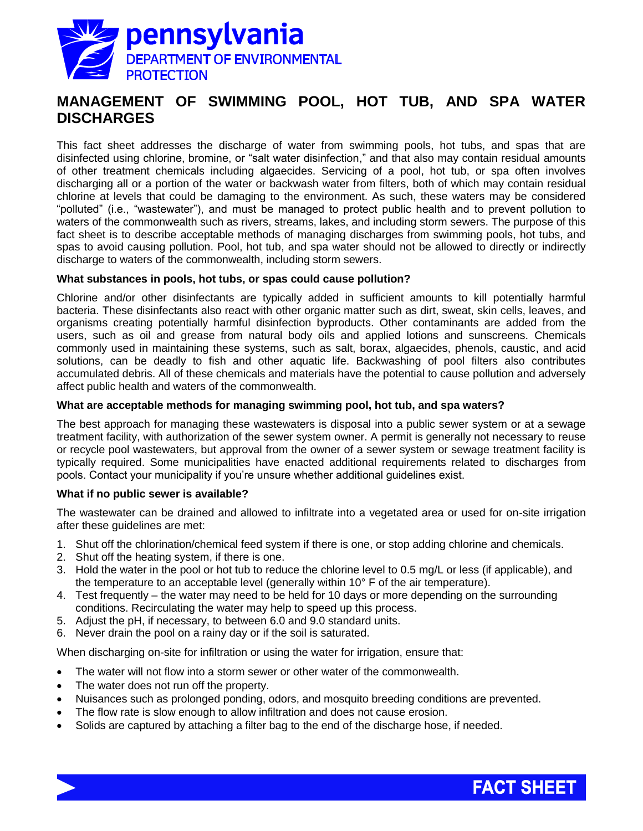

# **MANAGEMENT OF SWIMMING POOL, HOT TUB, AND SPA WATER DISCHARGES**

This fact sheet addresses the discharge of water from swimming pools, hot tubs, and spas that are disinfected using chlorine, bromine, or "salt water disinfection," and that also may contain residual amounts of other treatment chemicals including algaecides. Servicing of a pool, hot tub, or spa often involves discharging all or a portion of the water or backwash water from filters, both of which may contain residual chlorine at levels that could be damaging to the environment. As such, these waters may be considered "polluted" (i.e., "wastewater"), and must be managed to protect public health and to prevent pollution to waters of the commonwealth such as rivers, streams, lakes, and including storm sewers. The purpose of this fact sheet is to describe acceptable methods of managing discharges from swimming pools, hot tubs, and spas to avoid causing pollution. Pool, hot tub, and spa water should not be allowed to directly or indirectly discharge to waters of the commonwealth, including storm sewers.

### **What substances in pools, hot tubs, or spas could cause pollution?**

Chlorine and/or other disinfectants are typically added in sufficient amounts to kill potentially harmful bacteria. These disinfectants also react with other organic matter such as dirt, sweat, skin cells, leaves, and organisms creating potentially harmful disinfection byproducts. Other contaminants are added from the users, such as oil and grease from natural body oils and applied lotions and sunscreens. Chemicals commonly used in maintaining these systems, such as salt, borax, algaecides, phenols, caustic, and acid solutions, can be deadly to fish and other aquatic life. Backwashing of pool filters also contributes accumulated debris. All of these chemicals and materials have the potential to cause pollution and adversely affect public health and waters of the commonwealth.

### **What are acceptable methods for managing swimming pool, hot tub, and spa waters?**

The best approach for managing these wastewaters is disposal into a public sewer system or at a sewage treatment facility, with authorization of the sewer system owner. A permit is generally not necessary to reuse or recycle pool wastewaters, but approval from the owner of a sewer system or sewage treatment facility is typically required. Some municipalities have enacted additional requirements related to discharges from pools. Contact your municipality if you're unsure whether additional guidelines exist.

#### **What if no public sewer is available?**

The wastewater can be drained and allowed to infiltrate into a vegetated area or used for on-site irrigation after these guidelines are met:

- 1. Shut off the chlorination/chemical feed system if there is one, or stop adding chlorine and chemicals.
- 2. Shut off the heating system, if there is one.
- 3. Hold the water in the pool or hot tub to reduce the chlorine level to 0.5 mg/L or less (if applicable), and the temperature to an acceptable level (generally within 10° F of the air temperature).
- 4. Test frequently the water may need to be held for 10 days or more depending on the surrounding conditions. Recirculating the water may help to speed up this process.
- 5. Adjust the pH, if necessary, to between 6.0 and 9.0 standard units.
- 6. Never drain the pool on a rainy day or if the soil is saturated.

When discharging on-site for infiltration or using the water for irrigation, ensure that:

- The water will not flow into a storm sewer or other water of the commonwealth.
- The water does not run off the property.
- Nuisances such as prolonged ponding, odors, and mosquito breeding conditions are prevented.
- The flow rate is slow enough to allow infiltration and does not cause erosion.
- Solids are captured by attaching a filter bag to the end of the discharge hose, if needed.